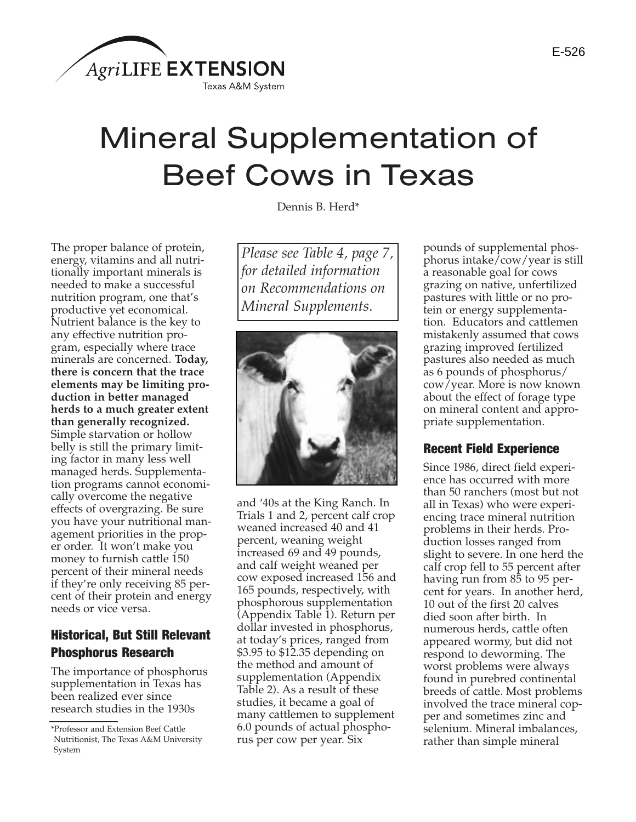

# Mineral Supplementation of Beef Cows in Texas

Dennis B. Herd\*

The proper balance of protein, energy, vitamins and all nutritionally important minerals is needed to make a successful nutrition program, one that's productive yet economical. Nutrient balance is the key to any effective nutrition program, especially where trace minerals are concerned. **Today, there is concern that the trace elements may be limiting production in better managed herds to a much greater extent than generally recognized.** Simple starvation or hollow belly is still the primary limiting factor in many less well managed herds. Supplementation programs cannot economically overcome the negative effects of overgrazing. Be sure you have your nutritional management priorities in the proper order. It won't make you money to furnish cattle 150 percent of their mineral needs if they're only receiving 85 percent of their protein and energy needs or vice versa.

## Historical, But Still Relevant Phosphorus Research

The importance of phosphorus supplementation in Texas has been realized ever since research studies in the 1930s

*Please see Table 4, page 7, for detailed information on Recommendations on Mineral Supplements.*



and '40s at the King Ranch. In Trials 1 and 2, percent calf crop weaned increased 40 and 41 percent, weaning weight increased 69 and 49 pounds, and calf weight weaned per cow exposed increased 156 and 165 pounds, respectively, with phosphorous supplementation (Appendix Table 1). Return per dollar invested in phosphorus, at today's prices, ranged from \$3.95 to \$12.35 depending on the method and amount of supplementation (Appendix Table 2). As a result of these studies, it became a goal of many cattlemen to supplement 6.0 pounds of actual phosphorus per cow per year. Six

pounds of supplemental phosphorus intake/cow/year is still a reasonable goal for cows grazing on native, unfertilized pastures with little or no protein or energy supplementation. Educators and cattlemen mistakenly assumed that cows grazing improved fertilized pastures also needed as much as 6 pounds of phosphorus/ cow/year. More is now known about the effect of forage type on mineral content and appropriate supplementation.

#### Recent Field Experience

Since 1986, direct field experience has occurred with more than 50 ranchers (most but not all in Texas) who were experiencing trace mineral nutrition problems in their herds. Production losses ranged from slight to severe. In one herd the calf crop fell to 55 percent after having run from 85 to 95 percent for years. In another herd, 10 out of the first 20 calves died soon after birth. In numerous herds, cattle often appeared wormy, but did not respond to deworming. The worst problems were always found in purebred continental breeds of cattle. Most problems involved the trace mineral copper and sometimes zinc and selenium. Mineral imbalances, rather than simple mineral

<sup>\*</sup>Professor and Extension Beef Cattle Nutritionist, The Texas A&M University System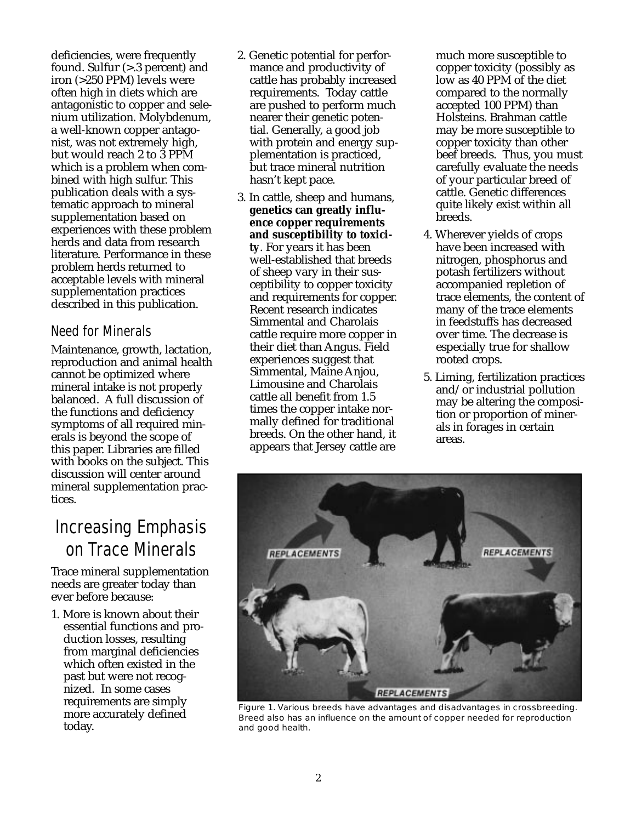deficiencies, were frequently found. Sulfur (>.3 percent) and iron (>250 PPM) levels were often high in diets which are antagonistic to copper and selenium utilization. Molybdenum, a well-known copper antagonist, was not extremely high, but would reach 2 to 3 PPM which is a problem when combined with high sulfur. This publication deals with a systematic approach to mineral supplementation based on experiences with these problem herds and data from research literature. Performance in these problem herds returned to acceptable levels with mineral supplementation practices described in this publication.

### Need for Minerals

Maintenance, growth, lactation, reproduction and animal health cannot be optimized where mineral intake is not properly balanced. A full discussion of the functions and deficiency symptoms of all required minerals is beyond the scope of this paper. Libraries are filled with books on the subject. This discussion will center around mineral supplementation practices.

# Increasing Emphasis on Trace Minerals

Trace mineral supplementation needs are greater today than ever before because:

1. More is known about their essential functions and production losses, resulting from marginal deficiencies which often existed in the past but were not recognized. In some cases requirements are simply more accurately defined today.

- 2. Genetic potential for performance and productivity of cattle has probably increased requirements. Today cattle are pushed to perform much nearer their genetic potential. Generally, a good job with protein and energy supplementation is practiced, but trace mineral nutrition hasn't kept pace.
- 3. In cattle, sheep and humans, **genetics can greatly influence copper requirements and susceptibility to toxicity**. For years it has been well-established that breeds of sheep vary in their susceptibility to copper toxicity and requirements for copper. Recent research indicates Simmental and Charolais cattle require more copper in their diet than Angus. Field experiences suggest that Simmental, Maine Anjou, Limousine and Charolais cattle all benefit from 1.5 times the copper intake normally defined for traditional breeds. On the other hand, it appears that Jersey cattle are

much more susceptible to copper toxicity (possibly as low as 40 PPM of the diet compared to the normally accepted 100 PPM) than Holsteins. Brahman cattle may be more susceptible to copper toxicity than other beef breeds. Thus, you must carefully evaluate the needs of your particular breed of cattle. Genetic differences quite likely exist within all breeds.

- 4. Wherever yields of crops have been increased with nitrogen, phosphorus and potash fertilizers without accompanied repletion of trace elements, the content of many of the trace elements in feedstuffs has decreased over time. The decrease is especially true for shallow rooted crops.
- 5. Liming, fertilization practices and/or industrial pollution may be altering the composition or proportion of minerals in forages in certain areas.



Figure 1. Various breeds have advantages and disadvantages in crossbreeding. Breed also has an influence on the amount of copper needed for reproduction and good health.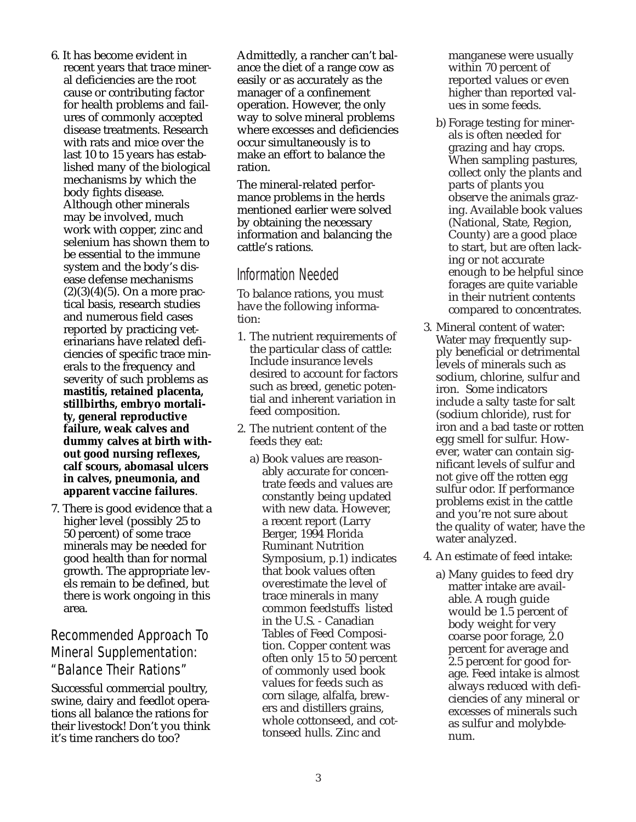- 6. It has become evident in recent years that trace mineral deficiencies are the root cause or contributing factor for health problems and failures of commonly accepted disease treatments. Research with rats and mice over the last 10 to 15 years has established many of the biological mechanisms by which the body fights disease. Although other minerals may be involved, much work with copper, zinc and selenium has shown them to be essential to the immune system and the body's disease defense mechanisms  $(2)(3)(4)(5)$ . On a more practical basis, research studies and numerous field cases reported by practicing veterinarians have related deficiencies of specific trace minerals to the frequency and severity of such problems as **mastitis, retained placenta, stillbirths, embryo mortality, general reproductive failure, weak calves and dummy calves at birth without good nursing reflexes, calf scours, abomasal ulcers in calves, pneumonia, and apparent vaccine failures**.
- 7. There is good evidence that a higher level (possibly 25 to 50 percent) of some trace minerals may be needed for good health than for normal growth. The appropriate levels remain to be defined, but there is work ongoing in this area.

## Recommended Approach To Mineral Supplementation: "Balance Their Rations"

Successful commercial poultry, swine, dairy and feedlot operations all balance the rations for their livestock! Don't you think it's time ranchers do too?

Admittedly, a rancher can't balance the diet of a range cow as easily or as accurately as the manager of a confinement operation. However, the only way to solve mineral problems where excesses and deficiencies occur simultaneously is to make an effort to balance the ration.

The mineral-related performance problems in the herds mentioned earlier were solved by obtaining the necessary information and balancing the cattle's rations.

#### Information Needed

To balance rations, you must have the following information:

- 1. The nutrient requirements of the particular class of cattle: Include insurance levels desired to account for factors such as breed, genetic potential and inherent variation in feed composition.
- 2. The nutrient content of the feeds they eat:
	- a) Book values are reasonably accurate for concentrate feeds and values are constantly being updated with new data. However, a recent report (Larry Berger, 1994 Florida Ruminant Nutrition Symposium, p.1) indicates that book values often overestimate the level of trace minerals in many common feedstuffs listed in the U.S. - Canadian Tables of Feed Composition. Copper content was often only 15 to 50 percent of commonly used book values for feeds such as corn silage, alfalfa, brewers and distillers grains, whole cottonseed, and cottonseed hulls. Zinc and

manganese were usually within 70 percent of reported values or even higher than reported values in some feeds.

- b) Forage testing for minerals is often needed for grazing and hay crops. When sampling pastures, collect only the plants and parts of plants you observe the animals grazing. Available book values (National, State, Region, County) are a good place to start, but are often lacking or not accurate enough to be helpful since forages are quite variable in their nutrient contents compared to concentrates.
- 3. Mineral content of water: Water may frequently supply beneficial or detrimental levels of minerals such as sodium, chlorine, sulfur and iron. Some indicators include a salty taste for salt (sodium chloride), rust for iron and a bad taste or rotten egg smell for sulfur. However, water can contain significant levels of sulfur and not give off the rotten egg sulfur odor. If performance problems exist in the cattle and you're not sure about the quality of water, have the water analyzed.
- 4. An estimate of feed intake:
	- a) Many guides to feed dry matter intake are available. A rough guide would be 1.5 percent of body weight for very coarse poor forage, 2.0 percent for average and 2.5 percent for good forage. Feed intake is almost always reduced with deficiencies of any mineral or excesses of minerals such as sulfur and molybdenum.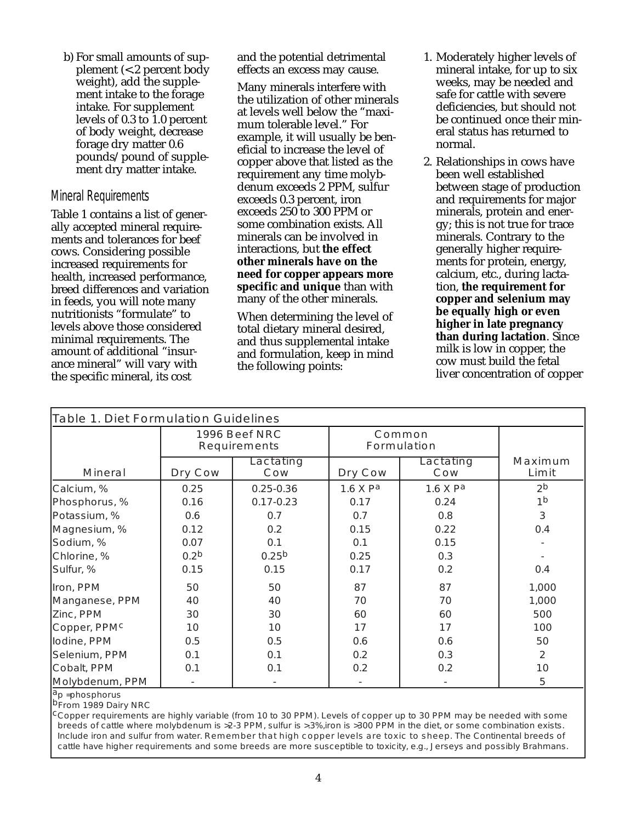b) For small amounts of supplement (<.2 percent body weight), add the supplement intake to the forage intake. For supplement levels of 0.3 to 1.0 percent of body weight, decrease forage dry matter 0.6 pounds/pound of supplement dry matter intake.

#### Mineral Requirements

Table 1 contains a list of generally accepted mineral requirements and tolerances for beef cows. Considering possible increased requirements for health, increased performance, breed differences and variation in feeds, you will note many nutritionists "formulate" to levels above those considered minimal requirements. The amount of additional "insurance mineral" will vary with the specific mineral, its cost

and the potential detrimental effects an excess may cause.

Many minerals interfere with the utilization of other minerals at levels well below the "maximum tolerable level." For example, it will usually be beneficial to increase the level of copper above that listed as the requirement any time molybdenum exceeds 2 PPM, sulfur exceeds 0.3 percent, iron exceeds 250 to 300 PPM or some combination exists. All minerals can be involved in interactions, but **the effect other minerals have on the need for copper appears more specific and unique** than with many of the other minerals.

When determining the level of total dietary mineral desired, and thus supplemental intake and formulation, keep in mind the following points:

- 1. Moderately higher levels of mineral intake, for up to six weeks, may be needed and safe for cattle with severe deficiencies, but should not be continued once their mineral status has returned to normal.
- 2. Relationships in cows have been well established between stage of production and requirements for major minerals, protein and energy; this is not true for trace minerals. Contrary to the generally higher requirements for protein, energy, calcium, etc., during lactation, **the requirement for copper and selenium may be equally high or even higher in late pregnancy than during lactation**. Since milk is low in copper, the cow must build the fetal liver concentration of copper

| <b>Table 1. Diet Formulation Guidelines</b> |                                      |                   |                              |                  |                  |
|---------------------------------------------|--------------------------------------|-------------------|------------------------------|------------------|------------------|
|                                             | 1996 Beef NRC<br><b>Requirements</b> |                   | Common<br><b>Formulation</b> |                  |                  |
| <b>Mineral</b>                              | Dry Cow                              | Lactating<br>Cow  | Dry Cow                      | Lactating<br>Cow | Maximum<br>Limit |
| Calcium, %                                  | 0.25                                 | $0.25 - 0.36$     | 1.6 X Pa                     | 1.6 X Pa         | 2 <sup>b</sup>   |
| Phosphorus, %                               | 0.16                                 | $0.17 - 0.23$     | 0.17                         | 0.24             | 1 <sup>b</sup>   |
| Potassium, %                                | 0.6                                  | 0.7               | 0.7                          | 0.8              | 3                |
| Magnesium, %                                | 0.12                                 | 0.2               | 0.15                         | 0.22             | 0.4              |
| Sodium, %                                   | 0.07                                 | 0.1               | 0.1                          | 0.15             |                  |
| Chlorine, %                                 | 0.2 <sup>b</sup>                     | 0.25 <sup>b</sup> | 0.25                         | 0.3              |                  |
| Sulfur, %                                   | 0.15                                 | 0.15              | 0.17                         | 0.2              | 0.4              |
| Iron, PPM                                   | 50                                   | 50                | 87                           | 87               | 1,000            |
| Manganese, PPM                              | 40                                   | 40                | 70                           | 70               | 1,000            |
| Zinc, PPM                                   | 30                                   | 30                | 60                           | 60               | 500              |
| Copper, PPMC                                | 10                                   | 10                | 17                           | 17               | 100              |
| lodine, PPM                                 | 0.5                                  | 0.5               | 0.6                          | 0.6              | 50               |
| Selenium, PPM                               | 0.1                                  | 0.1               | 0.2                          | 0.3              | 2                |
| Cobalt, PPM                                 | 0.1                                  | 0.1               | 0.2                          | 0.2              | 10               |
| Molybdenum, PPM                             |                                      |                   |                              |                  | 5                |

<sup>a</sup>p =phosphorus<br><sup>b</sup>From 1989 Dairy NRC

 $c$ Copper requirements are highly variable (from 10 to 30 PPM). Levels of copper up to 30 PPM may be needed with some breeds of cattle where molybdenum is >2-3 PPM, sulfur is >.3%,iron is >300 PPM in the diet, or some combination exists. Include iron and sulfur from water. Remember that high copper levels are toxic to sheep. The Continental breeds of cattle have higher requirements and some breeds are more susceptible to toxicity, e.g., Jerseys and possibly Brahmans.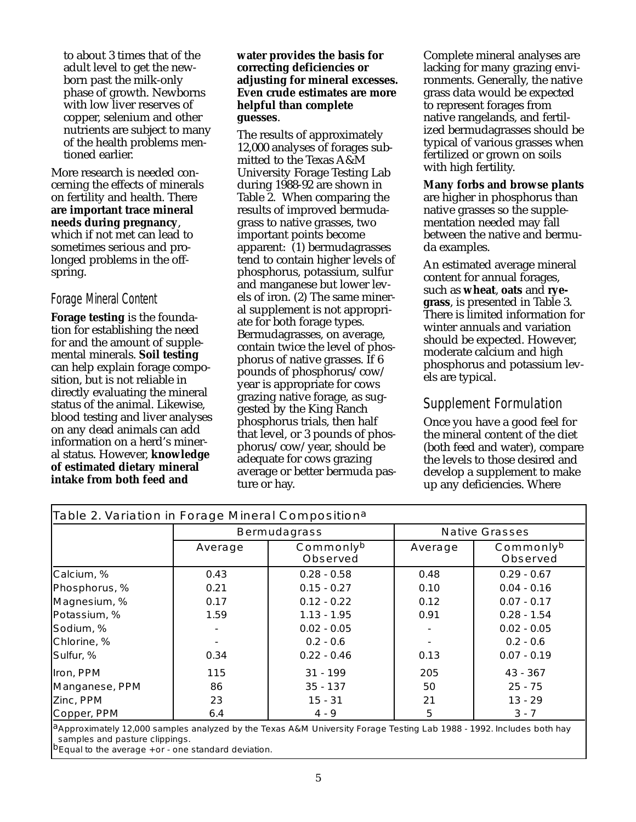to about 3 times that of the adult level to get the newborn past the milk-only phase of growth. Newborns with low liver reserves of copper, selenium and other nutrients are subject to many of the health problems mentioned earlier.

More research is needed concerning the effects of minerals on fertility and health. There **are important trace mineral needs during pregnancy**, which if not met can lead to sometimes serious and prolonged problems in the offspring.

#### Forage Mineral Content

**Forage testing** is the foundation for establishing the need for and the amount of supplemental minerals. **Soil testing** can help explain forage composition, but is not reliable in directly evaluating the mineral status of the animal. Likewise, blood testing and liver analyses on any dead animals can add information on a herd's mineral status. However, **knowledge of estimated dietary mineral intake from both feed and**

#### **water provides the basis for correcting deficiencies or adjusting for mineral excesses. Even crude estimates are more helpful than complete guesses**.

The results of approximately 12,000 analyses of forages submitted to the Texas A&M University Forage Testing Lab during 1988-92 are shown in Table 2. When comparing the results of improved bermudagrass to native grasses, two important points become apparent: (1) bermudagrasses tend to contain higher levels of phosphorus, potassium, sulfur and manganese but lower levels of iron. (2) The same mineral supplement is not appropriate for both forage types. Bermudagrasses, on average, contain twice the level of phosphorus of native grasses. If 6 pounds of phosphorus/cow/ year is appropriate for cows grazing native forage, as suggested by the King Ranch phosphorus trials, then half that level, or 3 pounds of phosphorus/cow/year, should be adequate for cows grazing average or better bermuda pasture or hay.

Complete mineral analyses are lacking for many grazing environments. Generally, the native grass data would be expected to represent forages from native rangelands, and fertilized bermudagrasses should be typical of various grasses when fertilized or grown on soils with high fertility.

**Many forbs and browse plants** are higher in phosphorus than native grasses so the supplementation needed may fall between the native and bermuda examples.

An estimated average mineral content for annual forages, such as **wheat**, **oats** and **ryegrass**, is presented in Table 3. There is limited information for winter annuals and variation should be expected. However, moderate calcium and high phosphorus and potassium levels are typical.

#### Supplement Formulation

Once you have a good feel for the mineral content of the diet (both feed and water), compare the levels to those desired and develop a supplement to make up any deficiencies. Where

| Table 2. Variation in Forage Mineral Composition <sup>a</sup>                                                                    |                                         |               |                       |                              |  |
|----------------------------------------------------------------------------------------------------------------------------------|-----------------------------------------|---------------|-----------------------|------------------------------|--|
|                                                                                                                                  | <b>Bermudagrass</b>                     |               | <b>Native Grasses</b> |                              |  |
|                                                                                                                                  | Commonlyb<br>Average<br><b>Observed</b> |               | Average               | Commonlyb<br><b>Observed</b> |  |
| Calcium, %                                                                                                                       | 0.43                                    | $0.28 - 0.58$ | 0.48                  | $0.29 - 0.67$                |  |
| Phosphorus, %                                                                                                                    | 0.21                                    | $0.15 - 0.27$ | 0.10                  | $0.04 - 0.16$                |  |
| Magnesium, %                                                                                                                     | 0.17                                    | $0.12 - 0.22$ | 0.12                  | $0.07 - 0.17$                |  |
| Potassium, %                                                                                                                     | 1.59                                    | $1.13 - 1.95$ | 0.91                  | $0.28 - 1.54$                |  |
| Sodium, %                                                                                                                        |                                         | $0.02 - 0.05$ |                       | $0.02 - 0.05$                |  |
| Chlorine, %                                                                                                                      |                                         | $0.2 - 0.6$   |                       | $0.2 - 0.6$                  |  |
| Sulfur, %                                                                                                                        | 0.34                                    | $0.22 - 0.46$ | 0.13                  | $0.07 - 0.19$                |  |
| Iron, PPM                                                                                                                        | 115                                     | $31 - 199$    | 205                   | 43 - 367                     |  |
| Manganese, PPM                                                                                                                   | 86                                      | $35 - 137$    | 50                    | $25 - 75$                    |  |
| Zinc, PPM                                                                                                                        | 23                                      | $15 - 31$     | 21                    | $13 - 29$                    |  |
| Copper, PPM                                                                                                                      | 6.4                                     | $4 - 9$       | 5                     | $3 - 7$                      |  |
| <sup>1</sup> Approximately 12,000 samples analyzed by the Texas A&M University Forage Testing Lab 1988 - 1992. Includes both hay |                                         |               |                       |                              |  |

samples and pasture clippings.<br>bEqual to the average + or - one standard deviation.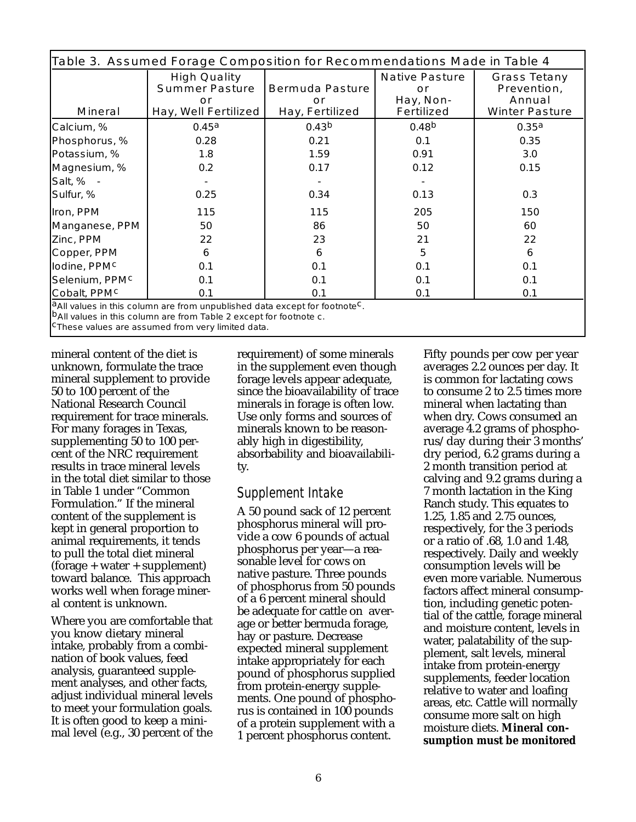| Table 3. Assumed Forage Composition for Recommendations Made in Table 4                   |                                                                            |                                                 |                                                               |                                                                       |  |
|-------------------------------------------------------------------------------------------|----------------------------------------------------------------------------|-------------------------------------------------|---------------------------------------------------------------|-----------------------------------------------------------------------|--|
| <b>Mineral</b>                                                                            | <b>High Quality</b><br><b>Summer Pasture</b><br>or<br>Hay, Well Fertilized | <b>Bermuda Pasture</b><br>or<br>Hay, Fertilized | <b>Native Pasture</b><br>or<br>Hay, Non-<br><b>Fertilized</b> | <b>Grass Tetany</b><br>Prevention,<br>Annual<br><b>Winter Pasture</b> |  |
| Calcium, %                                                                                | 0.45a                                                                      | 0.43 <sup>b</sup>                               | 0.48 <sup>b</sup>                                             | 0.35 <sup>a</sup>                                                     |  |
| Phosphorus, %                                                                             | 0.28                                                                       | 0.21                                            | 0.1                                                           | 0.35                                                                  |  |
| Potassium, %                                                                              | 1.8                                                                        | 1.59                                            | 0.91                                                          | 3.0                                                                   |  |
| Magnesium, %                                                                              | 0.2                                                                        | 0.17                                            | 0.12                                                          | 0.15                                                                  |  |
| Salt, % -                                                                                 |                                                                            |                                                 |                                                               |                                                                       |  |
| Sulfur, %                                                                                 | 0.25                                                                       | 0.34                                            | 0.13                                                          | 0.3                                                                   |  |
| Iron, PPM                                                                                 | 115                                                                        | 115                                             | 205                                                           | 150                                                                   |  |
| Manganese, PPM                                                                            | 50                                                                         | 86                                              | 50                                                            | 60                                                                    |  |
| Zinc, PPM                                                                                 | 22                                                                         | 23                                              | 21                                                            | 22                                                                    |  |
| Copper, PPM                                                                               | 6                                                                          | 6                                               | 5                                                             | 6                                                                     |  |
| lodine, PPM <sup>c</sup>                                                                  | 0.1                                                                        | 0.1                                             | 0.1                                                           | 0.1                                                                   |  |
| Selenium, PPM <sup>c</sup>                                                                | 0.1                                                                        | 0.1                                             | 0.1                                                           | 0.1                                                                   |  |
| Cobalt, PPMC                                                                              | 0.1                                                                        | 0.1                                             | 0.1                                                           | 0.1                                                                   |  |
| $ a_{\Lambda}$ ll values in this column are from unpublished data excent for footpote $c$ |                                                                            |                                                 |                                                               |                                                                       |  |

<sup>a</sup>All values in this column are from unpublished data except for footnote<br><sup>b</sup>All values in this column are from Table 2 except for footnote c.<br><sup>C</sup>These values are assumed from very limited data.

mineral content of the diet is unknown, formulate the trace mineral supplement to provide 50 to 100 percent of the National Research Council requirement for trace minerals. For many forages in Texas, supplementing 50 to 100 percent of the NRC requirement results in trace mineral levels in the total diet similar to those in Table 1 under "Common Formulation." If the mineral content of the supplement is kept in general proportion to animal requirements, it tends to pull the total diet mineral (forage + water + supplement) toward balance. This approach works well when forage mineral content is unknown.

Where you are comfortable that you know dietary mineral intake, probably from a combination of book values, feed analysis, guaranteed supplement analyses, and other facts, adjust individual mineral levels to meet your formulation goals. It is often good to keep a minimal level (e.g., 30 percent of the

requirement) of some minerals in the supplement even though forage levels appear adequate, since the bioavailability of trace minerals in forage is often low. Use only forms and sources of minerals known to be reasonably high in digestibility, absorbability and bioavailability.

#### Supplement Intake

A 50 pound sack of 12 percent phosphorus mineral will provide a cow 6 pounds of actual phosphorus per year—a reasonable level for cows on native pasture. Three pounds of phosphorus from 50 pounds of a 6 percent mineral should be adequate for cattle on average or better bermuda forage, hay or pasture. Decrease expected mineral supplement intake appropriately for each pound of phosphorus supplied from protein-energy supplements. One pound of phosphorus is contained in 100 pounds of a protein supplement with a 1 percent phosphorus content.

Fifty pounds per cow per year averages 2.2 ounces per day. It is common for lactating cows to consume 2 to 2.5 times more mineral when lactating than when dry. Cows consumed an average 4.2 grams of phosphorus/day during their 3 months' dry period, 6.2 grams during a 2 month transition period at calving and 9.2 grams during a 7 month lactation in the King Ranch study. This equates to 1.25, 1.85 and 2.75 ounces, respectively, for the 3 periods or a ratio of .68, 1.0 and 1.48, respectively. Daily and weekly consumption levels will be even more variable. Numerous factors affect mineral consumption, including genetic potential of the cattle, forage mineral and moisture content, levels in water, palatability of the supplement, salt levels, mineral intake from protein-energy supplements, feeder location relative to water and loafing areas, etc. Cattle will normally consume more salt on high moisture diets. **Mineral consumption must be monitored**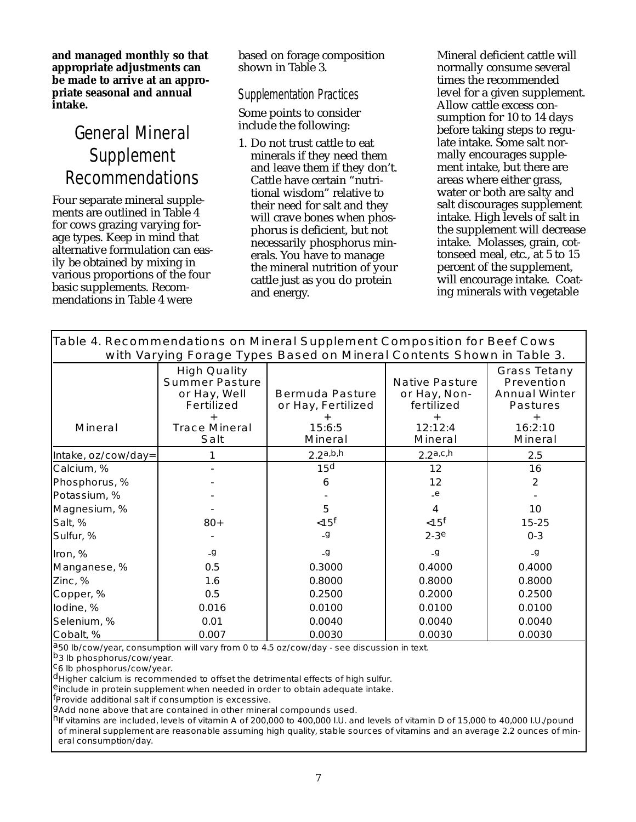**and managed monthly so that appropriate adjustments can be made to arrive at an appropriate seasonal and annual intake.**

# General Mineral Supplement Recommendations

Four separate mineral supplements are outlined in Table 4 for cows grazing varying forage types. Keep in mind that alternative formulation can easily be obtained by mixing in various proportions of the four basic supplements. Recommendations in Table 4 were

based on forage composition shown in Table 3.

#### Supplementation Practices

Some points to consider include the following:

1. Do not trust cattle to eat minerals if they need them and leave them if they don't. Cattle have certain "nutritional wisdom" relative to their need for salt and they will crave bones when phosphorus is deficient, but not necessarily phosphorus minerals. You have to manage the mineral nutrition of your cattle just as you do protein and energy.

Mineral deficient cattle will normally consume several times the recommended level for a given supplement. Allow cattle excess consumption for 10 to 14 days before taking steps to regulate intake. Some salt normally encourages supplement intake, but there are areas where either grass, water or both are salty and salt discourages supplement intake. High levels of salt in the supplement will decrease intake. Molasses, grain, cottonseed meal, etc., at 5 to 15 percent of the supplement, will encourage intake. Coating minerals with vegetable

| Table 4. Recommendations on Mineral Supplement Composition for Beef Cows |
|--------------------------------------------------------------------------|
| with Varying Forage Types Based on Mineral Contents Shown in Table 3.    |

| with varying rolage types based on willeral contents shown in rable s. |                                                                                                                          |                                                                          |                                                                                  |                                                                                                           |  |
|------------------------------------------------------------------------|--------------------------------------------------------------------------------------------------------------------------|--------------------------------------------------------------------------|----------------------------------------------------------------------------------|-----------------------------------------------------------------------------------------------------------|--|
| <b>Mineral</b>                                                         | <b>High Quality</b><br><b>Summer Pasture</b><br>or Hay, Well<br><b>Fertilized</b><br><b>Trace Mineral</b><br><b>Salt</b> | <b>Bermuda Pasture</b><br>or Hay, Fertilized<br>15:6:5<br><b>Mineral</b> | <b>Native Pasture</b><br>or Hay, Non-<br>fertilized<br>12:12:4<br><b>Mineral</b> | <b>Grass Tetany</b><br>Prevention<br><b>Annual Winter</b><br><b>Pastures</b><br>16:2:10<br><b>Mineral</b> |  |
| Intake, oz/cow/day=                                                    |                                                                                                                          | 2.2a,b,h                                                                 | 2.2a, c, h                                                                       | 2.5                                                                                                       |  |
| Calcium, %                                                             |                                                                                                                          | 15 <sup>d</sup>                                                          | 12                                                                               | 16                                                                                                        |  |
| Phosphorus, %                                                          |                                                                                                                          | 6                                                                        | 12                                                                               | 2                                                                                                         |  |
| Potassium, %                                                           |                                                                                                                          |                                                                          | $-e$                                                                             |                                                                                                           |  |
| Magnesium, %                                                           |                                                                                                                          | 5                                                                        | 4                                                                                | 10                                                                                                        |  |
| Salt, %                                                                | $80+$                                                                                                                    | $<$ 15 $f$                                                               | $< 15$ <sup>f</sup>                                                              | 15-25                                                                                                     |  |
| Sulfur, %                                                              |                                                                                                                          | -g                                                                       | $2-3e$                                                                           | $0 - 3$                                                                                                   |  |
| Iron, %                                                                | -g                                                                                                                       | $-9$                                                                     | -g                                                                               | -g                                                                                                        |  |
| Manganese, %                                                           | 0.5                                                                                                                      | 0.3000                                                                   | 0.4000                                                                           | 0.4000                                                                                                    |  |
| Zinc, %                                                                | 1.6                                                                                                                      | 0.8000                                                                   | 0.8000                                                                           | 0.8000                                                                                                    |  |
| Copper, %                                                              | 0.5                                                                                                                      | 0.2500                                                                   | 0.2000                                                                           | 0.2500                                                                                                    |  |
| lodine, %                                                              | 0.016                                                                                                                    | 0.0100                                                                   | 0.0100                                                                           | 0.0100                                                                                                    |  |
| Selenium, %                                                            | 0.01                                                                                                                     | 0.0040                                                                   | 0.0040                                                                           | 0.0040                                                                                                    |  |
| Cobalt, %                                                              | 0.007                                                                                                                    | 0.0030                                                                   | 0.0030                                                                           | 0.0030                                                                                                    |  |

a<sub>50</sub> lb/cow/year, consumption will vary from 0 to 4.5 oz/cow/day - see discussion in text.<br>
b<sub>3</sub> lb phosphorus/cow/year.<br>
<sup>C</sup>6 lb phosphorus/cow/year.<br>
dHigher calcium is recommended to offset the detrimental effects of

9Add none above that are contained in other mineral compounds used.<br>hif vitamins are included, levels of vitamin A of 200,000 to 400,000 I.U. and levels of vitamin D of 15,000 to 40,000 I.U./pound of mineral supplement are reasonable assuming high quality, stable sources of vitamins and an average 2.2 ounces of mineral consumption/day.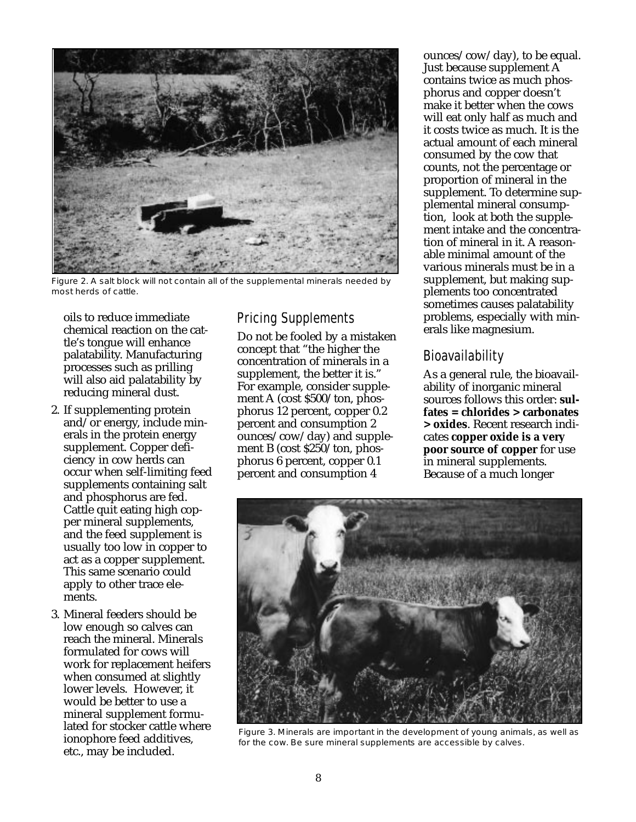

Figure 2. A salt block will not contain all of the supplemental minerals needed by most herds of cattle.

oils to reduce immediate chemical reaction on the cattle's tongue will enhance palatability. Manufacturing processes such as prilling will also aid palatability by reducing mineral dust.

- 2. If supplementing protein and/or energy, include minerals in the protein energy supplement. Copper deficiency in cow herds can occur when self-limiting feed supplements containing salt and phosphorus are fed. Cattle quit eating high copper mineral supplements, and the feed supplement is usually too low in copper to act as a copper supplement. This same scenario could apply to other trace elements.
- 3. Mineral feeders should be low enough so calves can reach the mineral. Minerals formulated for cows will work for replacement heifers when consumed at slightly lower levels. However, it would be better to use a mineral supplement formulated for stocker cattle where ionophore feed additives, etc., may be included.

# Pricing Supplements

Do not be fooled by a mistaken concept that "the higher the concentration of minerals in a supplement, the better it is." For example, consider supplement A (cost \$500/ton, phosphorus 12 percent, copper 0.2 percent and consumption 2 ounces/cow/day) and supplement B (cost \$250/ton, phosphorus 6 percent, copper 0.1 percent and consumption 4

ounces/cow/day), to be equal. Just because supplement A contains twice as much phosphorus and copper doesn't make it better when the cows will eat only half as much and it costs twice as much. It is the actual amount of each mineral consumed by the cow that counts, not the percentage or proportion of mineral in the supplement. To determine supplemental mineral consumption, look at both the supplement intake and the concentration of mineral in it. A reasonable minimal amount of the various minerals must be in a supplement, but making supplements too concentrated sometimes causes palatability problems, especially with minerals like magnesium.

## Bioavailability

As a general rule, the bioavailability of inorganic mineral sources follows this order: **sulfates = chlorides > carbonates > oxides**. Recent research indicates **copper oxide is a very poor source of copper** for use in mineral supplements. Because of a much longer



Figure 3. Minerals are important in the development of young animals, as well as for the cow. Be sure mineral supplements are accessible by calves.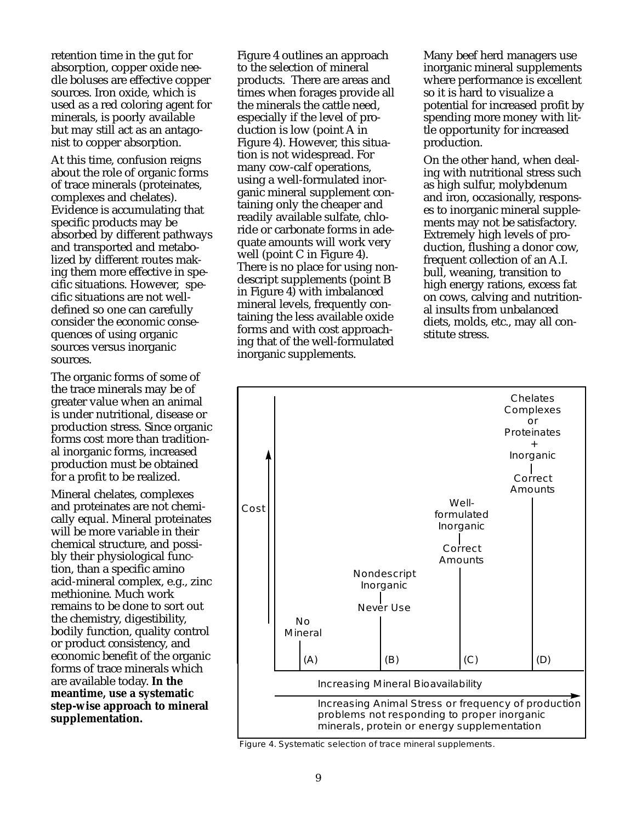retention time in the gut for absorption, copper oxide needle boluses are effective copper sources. Iron oxide, which is used as a red coloring agent for minerals, is poorly available but may still act as an antagonist to copper absorption.

At this time, confusion reigns about the role of organic forms of trace minerals (proteinates, complexes and chelates). Evidence is accumulating that specific products may be absorbed by different pathways and transported and metabolized by different routes making them more effective in specific situations. However, specific situations are not welldefined so one can carefully consider the economic consequences of using organic sources versus inorganic sources.

The organic forms of some of the trace minerals may be of greater value when an animal is under nutritional, disease or production stress. Since organic forms cost more than traditional inorganic forms, increased production must be obtained for a profit to be realized.

Mineral chelates, complexes and proteinates are not chemically equal. Mineral proteinates will be more variable in their chemical structure, and possibly their physiological function, than a specific amino acid-mineral complex, e.g., zinc methionine. Much work remains to be done to sort out the chemistry, digestibility, bodily function, quality control or product consistency, and economic benefit of the organic forms of trace minerals which are available today. **In the meantime, use a systematic step-wise approach to mineral supplementation.**

Figure 4 outlines an approach to the selection of mineral products. There are areas and times when forages provide all the minerals the cattle need, especially if the level of production is low (point A in Figure 4). However, this situation is not widespread. For many cow-calf operations, using a well-formulated inorganic mineral supplement containing only the cheaper and readily available sulfate, chloride or carbonate forms in adequate amounts will work very well (point C in Figure 4). There is no place for using nondescript supplements (point B in Figure 4) with imbalanced mineral levels, frequently containing the less available oxide forms and with cost approaching that of the well-formulated inorganic supplements.

Many beef herd managers use inorganic mineral supplements where performance is excellent so it is hard to visualize a potential for increased profit by spending more money with little opportunity for increased production.

On the other hand, when dealing with nutritional stress such as high sulfur, molybdenum and iron, occasionally, responses to inorganic mineral supplements may not be satisfactory. Extremely high levels of production, flushing a donor cow, frequent collection of an A.I. bull, weaning, transition to high energy rations, excess fat on cows, calving and nutritional insults from unbalanced diets, molds, etc., may all constitute stress.



Figure 4. Systematic selection of trace mineral supplements.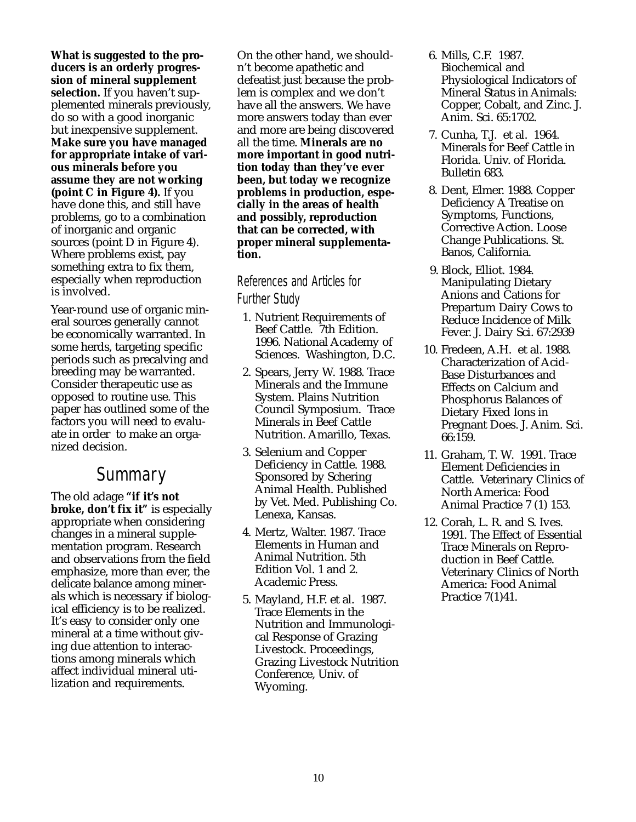**What is suggested to the producers is an orderly progression of mineral supplement selection.** If you haven't supplemented minerals previously, do so with a good inorganic but inexpensive supplement. **Make sure you have managed for appropriate intake of various minerals before you assume they are not working (point C in Figure 4).** If you have done this, and still have problems, go to a combination of inorganic and organic sources (point D in Figure 4). Where problems exist, pay something extra to fix them, especially when reproduction is involved.

Year-round use of organic mineral sources generally cannot be economically warranted. In some herds, targeting specific periods such as precalving and breeding may be warranted. Consider therapeutic use as opposed to routine use. This paper has outlined some of the factors you will need to evaluate in order to make an organized decision.

# **Summary**

The old adage **"if it's not broke, don't fix it"** is especially appropriate when considering changes in a mineral supplementation program. Research and observations from the field emphasize, more than ever, the delicate balance among minerals which is necessary if biological efficiency is to be realized. It's easy to consider only one mineral at a time without giving due attention to interactions among minerals which affect individual mineral utilization and requirements.

On the other hand, we shouldn't become apathetic and defeatist just because the problem is complex and we don't have all the answers. We have more answers today than ever and more are being discovered all the time. **Minerals are no more important in good nutrition today than they've ever been, but today we recognize problems in production, especially in the areas of health and possibly, reproduction that can be corrected, with proper mineral supplementation.**

#### References and Articles for Further Study

- 1. Nutrient Requirements of Beef Cattle. 7th Edition. 1996. National Academy of Sciences. Washington, D.C.
- 2. Spears, Jerry W. 1988. Trace Minerals and the Immune System. Plains Nutrition Council Symposium. Trace Minerals in Beef Cattle Nutrition. Amarillo, Texas.
- 3. Selenium and Copper Deficiency in Cattle. 1988. Sponsored by Schering Animal Health. Published by Vet. Med. Publishing Co. Lenexa, Kansas.
- 4. Mertz, Walter. 1987. Trace Elements in Human and Animal Nutrition. 5th Edition Vol. 1 and 2. Academic Press.
- 5. Mayland, H.F. et al. 1987. Trace Elements in the Nutrition and Immunological Response of Grazing Livestock. Proceedings, Grazing Livestock Nutrition Conference, Univ. of Wyoming.
- 6. Mills, C.F. 1987. Biochemical and Physiological Indicators of Mineral Status in Animals: Copper, Cobalt, and Zinc. J. Anim. Sci. 65:1702.
- 7. Cunha, T.J. et al. 1964. Minerals for Beef Cattle in Florida. Univ. of Florida. Bulletin 683.
- 8. Dent, Elmer. 1988. Copper Deficiency A Treatise on Symptoms, Functions, Corrective Action. Loose Change Publications. St. Banos, California.
- 9. Block, Elliot. 1984. Manipulating Dietary Anions and Cations for Prepartum Dairy Cows to Reduce Incidence of Milk Fever. J. Dairy Sci. 67:2939
- 10. Fredeen, A.H. et al. 1988. Characterization of Acid-Base Disturbances and Effects on Calcium and Phosphorus Balances of Dietary Fixed Ions in Pregnant Does. J. Anim. Sci. 66:159.
- 11. Graham, T. W. 1991. Trace Element Deficiencies in Cattle. Veterinary Clinics of North America: Food Animal Practice 7 (1) 153.
- 12. Corah, L. R. and S. Ives. 1991. The Effect of Essential Trace Minerals on Reproduction in Beef Cattle. Veterinary Clinics of North America: Food Animal Practice 7(1)41.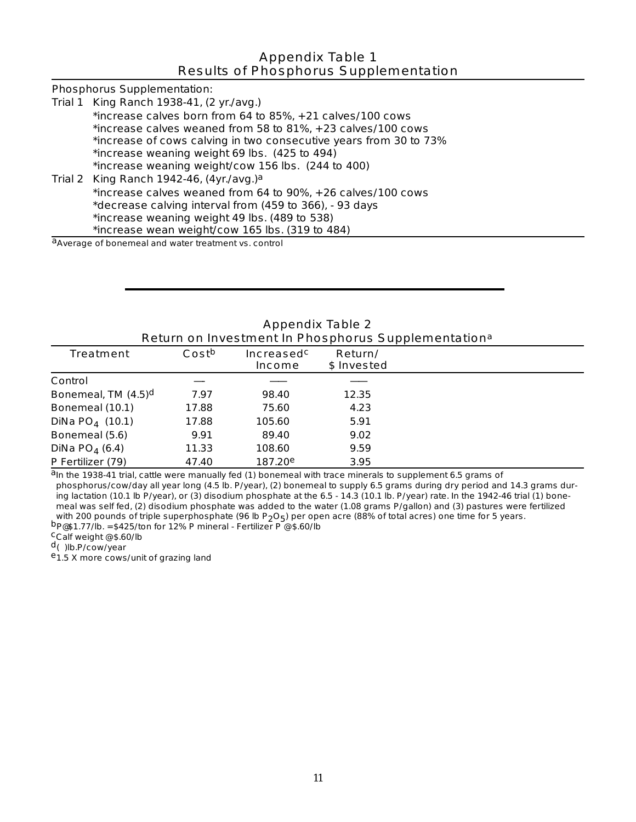#### Appendix Table 1 Results of Phosphorus Supplementation

| Phosphorus Supplementation:                                       |
|-------------------------------------------------------------------|
| Trial 1 King Ranch 1938-41, (2 yr./avg.)                          |
| *increase calves born from 64 to 85%, + 21 calves/100 cows        |
| *increase calves weaned from 58 to 81%, + 23 calves/100 cows      |
| *increase of cows calving in two consecutive years from 30 to 73% |
| *increase weaning weight 69 lbs. (425 to 494)                     |
| *increase weaning weight/cow 156 lbs. (244 to 400)                |
| Trial 2 King Ranch 1942-46, $(4yr./avg.)a$                        |
| *increase calves weaned from 64 to 90%, + 26 calves/100 cows      |
| *decrease calving interval from (459 to 366), - 93 days           |
| *increase weaning weight 49 lbs. (489 to 538)                     |
| *increase wean weight/cow 165 lbs. (319 to 484)                   |
| <sup>a</sup> Average of bonemeal and water treatment vs. control  |

| Appendix Table 2<br>Return on Investment In Phosphorus Supplementation <sup>a</sup> |       |                             |                        |  |  |
|-------------------------------------------------------------------------------------|-------|-----------------------------|------------------------|--|--|
| <b>Treatment</b>                                                                    | Costb | Increasedc<br><b>Income</b> | Return/<br>\$ Invested |  |  |
| Control                                                                             |       |                             |                        |  |  |
| Bonemeal, TM (4.5) <sup>d</sup>                                                     | 7.97  | 98.40                       | 12.35                  |  |  |
| Bonemeal (10.1)                                                                     | 17.88 | 75.60                       | 4.23                   |  |  |
| DiNa $PO_4$ (10.1)                                                                  | 17.88 | 105.60                      | 5.91                   |  |  |
| Bonemeal (5.6)                                                                      | 9.91  | 89.40                       | 9.02                   |  |  |
| DiNa $PO_4(6.4)$                                                                    | 11.33 | 108.60                      | 9.59                   |  |  |
| P Fertilizer (79)                                                                   | 47.40 | 187.20e                     | 3.95                   |  |  |

Appendix Table 2

aIn the 1938-41 trial, cattle were manually fed (1) bonemeal with trace minerals to supplement 6.5 grams of phosphorus/cow/day all year long (4.5 lb. P/year), (2) bonemeal to supply 6.5 grams during dry period and 14.3 grams during lactation (10.1 lb P/year), or (3) disodium phosphate at the 6.5 - 14.3 (10.1 lb. P/year) rate. In the 1942-46 trial (1) bonemeal was self fed, (2) disodium phosphate was added to the water (1.08 grams P/gallon) and (3) pastures were fertilized with 200 pounds of triple superphosphate (96 lb P<sub>2</sub>O<sub>5</sub>) per open acre (88% of total acres) one time

b<sub>p@\$1.77/lb.</sub> = \$425/ton for 12% P mineral - Fertilizer P  $\degree$  \$.60/lb<br>
Calf weight  $\degree$  \$.60/lb<br>
d()lb.P/cow/year<br>
e1.5 X more cows/unit of grazing land